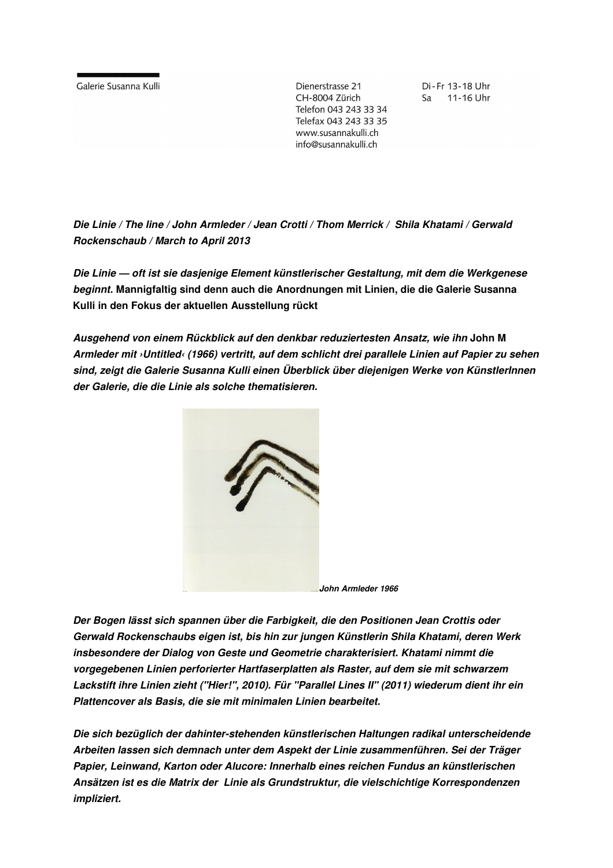Galerie Susanna Kulli

Dienerstrasse 21 CH-8004 Zürich Telefon 043 243 33 34 Telefax 043 243 33 35 www.susannakulli.ch info@susannakulli.ch

Di-Fr 13-18 Uhr Sa 11-16 Uhr

**Die Linie / The line / John Armleder / Jean Crotti / Thom Merrick / Shila Khatami / Gerwald Rockenschaub / March to April 2013** 

**Die Linie — oft ist sie dasjenige Element künstlerischer Gestaltung, mit dem die Werkgenese beginnt. Mannigfaltig sind denn auch die Anordnungen mit Linien, die die Galerie Susanna Kulli in den Fokus der aktuellen Ausstellung rückt** 

**Ausgehend von einem Rückblick auf den denkbar reduziertesten Ansatz, wie ihn John M Armleder mit ›Untitled‹ (1966) vertritt, auf dem schlicht drei parallele Linien auf Papier zu sehen sind, zeigt die Galerie Susanna Kulli einen Überblick über diejenigen Werke von KünstlerInnen der Galerie, die die Linie als solche thematisieren.** 



 **John Armleder 1966**

**Der Bogen lässt sich spannen über die Farbigkeit, die den Positionen Jean Crottis oder Gerwald Rockenschaubs eigen ist, bis hin zur jungen Künstlerin Shila Khatami, deren Werk insbesondere der Dialog von Geste und Geometrie charakterisiert. Khatami nimmt die vorgegebenen Linien perforierter Hartfaserplatten als Raster, auf dem sie mit schwarzem Lackstift ihre Linien zieht ("Hier!", 2010). Für "Parallel Lines II" (2011) wiederum dient ihr ein Plattencover als Basis, die sie mit minimalen Linien bearbeitet.** 

**Die sich bezüglich der dahinter-stehenden künstlerischen Haltungen radikal unterscheidende Arbeiten lassen sich demnach unter dem Aspekt der Linie zusammenführen. Sei der Träger Papier, Leinwand, Karton oder Alucore: Innerhalb eines reichen Fundus an künstlerischen Ansätzen ist es die Matrix der Linie als Grundstruktur, die vielschichtige Korrespondenzen impliziert.**